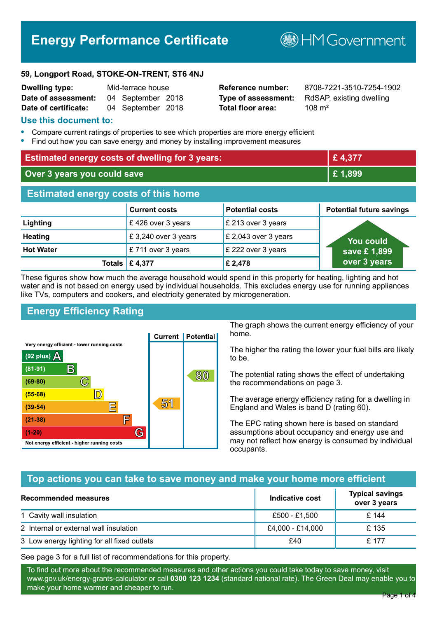# **Energy Performance Certificate**

**BHM Government** 

#### **59, Longport Road, STOKE-ON-TRENT, ST6 4NJ**

| <b>Dwelling type:</b> | Mid-terrace house |                   |  |
|-----------------------|-------------------|-------------------|--|
| Date of assessment:   |                   | 04 September 2018 |  |
| Date of certificate:  |                   | 04 September 2018 |  |

**Total floor area:** 108 m<sup>2</sup>

**Reference number:** 8708-7221-3510-7254-1902 **Type of assessment:** RdSAP, existing dwelling

#### **Use this document to:**

- **•** Compare current ratings of properties to see which properties are more energy efficient
- **•** Find out how you can save energy and money by installing improvement measures

| <b>Estimated energy costs of dwelling for 3 years:</b> |                       |                        | £4,377                          |
|--------------------------------------------------------|-----------------------|------------------------|---------------------------------|
| Over 3 years you could save                            |                       | £1,899                 |                                 |
| <b>Estimated energy costs of this home</b>             |                       |                        |                                 |
|                                                        | <b>Current costs</b>  | <b>Potential costs</b> | <b>Potential future savings</b> |
| Lighting                                               | £426 over 3 years     | £ 213 over 3 years     |                                 |
| <b>Heating</b>                                         | £3,240 over 3 years   | £ 2,043 over 3 years   | You could                       |
| <b>Hot Water</b>                                       | £711 over 3 years     | £ 222 over 3 years     | save £1,899                     |
|                                                        | <b>Totals E 4,377</b> | £ 2,478                | over 3 years                    |

These figures show how much the average household would spend in this property for heating, lighting and hot water and is not based on energy used by individual households. This excludes energy use for running appliances like TVs, computers and cookers, and electricity generated by microgeneration.

# **Energy Efficiency Rating**



The graph shows the current energy efficiency of your home.

The higher the rating the lower your fuel bills are likely to be.

The potential rating shows the effect of undertaking the recommendations on page 3.

The average energy efficiency rating for a dwelling in England and Wales is band D (rating 60).

The EPC rating shown here is based on standard assumptions about occupancy and energy use and may not reflect how energy is consumed by individual occupants.

## **Top actions you can take to save money and make your home more efficient**

| Recommended measures                        | Indicative cost  | <b>Typical savings</b><br>over 3 years |
|---------------------------------------------|------------------|----------------------------------------|
| 1 Cavity wall insulation                    | £500 - £1,500    | £ 144                                  |
| 2 Internal or external wall insulation      | £4,000 - £14,000 | £135                                   |
| 3 Low energy lighting for all fixed outlets | £40              | £ 177                                  |

See page 3 for a full list of recommendations for this property.

To find out more about the recommended measures and other actions you could take today to save money, visit www.gov.uk/energy-grants-calculator or call **0300 123 1234** (standard national rate). The Green Deal may enable you to make your home warmer and cheaper to run.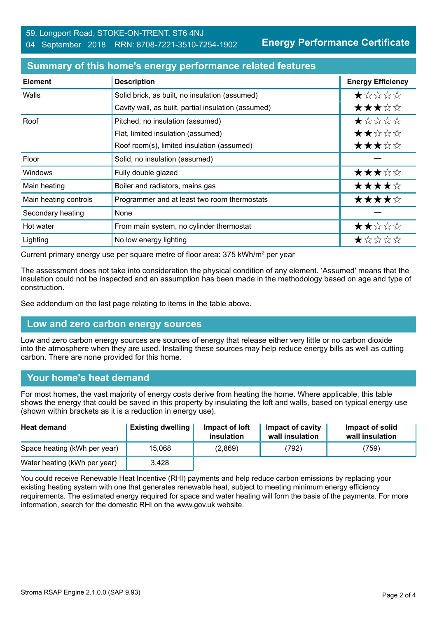**Energy Performance Certificate**

| <b>Element</b>        | <b>Description</b>                                  | <b>Energy Efficiency</b> |
|-----------------------|-----------------------------------------------------|--------------------------|
| Walls                 | Solid brick, as built, no insulation (assumed)      | $\bigstar x x x x$       |
|                       | Cavity wall, as built, partial insulation (assumed) | ★★★☆☆                    |
| Roof                  | Pitched, no insulation (assumed)                    | *****                    |
|                       | Flat, limited insulation (assumed)                  | ★★☆☆☆                    |
|                       | Roof room(s), limited insulation (assumed)          | ★★★☆☆                    |
| Floor                 | Solid, no insulation (assumed)                      |                          |
| <b>Windows</b>        | Fully double glazed                                 | ★★★☆☆                    |
| Main heating          | Boiler and radiators, mains gas                     | ★★★★☆                    |
| Main heating controls | Programmer and at least two room thermostats        | ★★★★☆                    |
| Secondary heating     | <b>None</b>                                         |                          |
| Hot water             | From main system, no cylinder thermostat            | ★★☆☆☆                    |
| Lighting              | No low energy lighting                              | ★☆☆☆☆                    |

## **Summary of this home's energy performance related features**

Current primary energy use per square metre of floor area: 375 kWh/m² per year

The assessment does not take into consideration the physical condition of any element. 'Assumed' means that the insulation could not be inspected and an assumption has been made in the methodology based on age and type of construction.

See addendum on the last page relating to items in the table above.

## **Low and zero carbon energy sources**

Low and zero carbon energy sources are sources of energy that release either very little or no carbon dioxide into the atmosphere when they are used. Installing these sources may help reduce energy bills as well as cutting carbon. There are none provided for this home.

## **Your home's heat demand**

For most homes, the vast majority of energy costs derive from heating the home. Where applicable, this table shows the energy that could be saved in this property by insulating the loft and walls, based on typical energy use (shown within brackets as it is a reduction in energy use).

| <b>Heat demand</b>           | <b>Existing dwelling</b> | Impact of loft<br>insulation | Impact of cavity<br>wall insulation | Impact of solid<br>wall insulation |
|------------------------------|--------------------------|------------------------------|-------------------------------------|------------------------------------|
| Space heating (kWh per year) | 15,068                   | (2,869)                      | (792)                               | (759)                              |
| Water heating (kWh per year) | 3,428                    |                              |                                     |                                    |

You could receive Renewable Heat Incentive (RHI) payments and help reduce carbon emissions by replacing your existing heating system with one that generates renewable heat, subject to meeting minimum energy efficiency requirements. The estimated energy required for space and water heating will form the basis of the payments. For more information, search for the domestic RHI on the www.gov.uk website.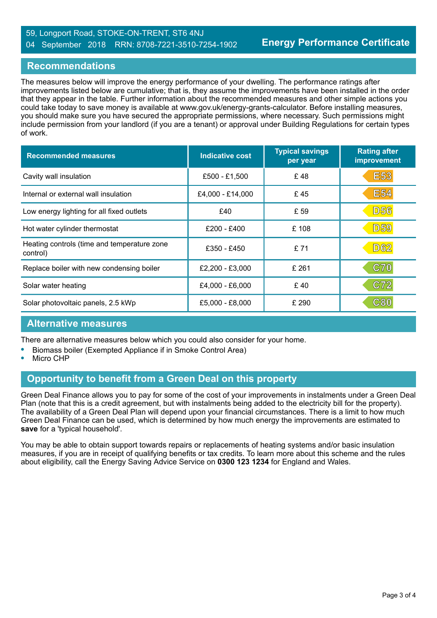#### 59, Longport Road, STOKE-ON-TRENT, ST6 4NJ 04 September 2018 RRN: 8708-7221-3510-7254-1902

## **Recommendations**

The measures below will improve the energy performance of your dwelling. The performance ratings after improvements listed below are cumulative; that is, they assume the improvements have been installed in the order that they appear in the table. Further information about the recommended measures and other simple actions you could take today to save money is available at www.gov.uk/energy-grants-calculator. Before installing measures, you should make sure you have secured the appropriate permissions, where necessary. Such permissions might include permission from your landlord (if you are a tenant) or approval under Building Regulations for certain types of work.

| <b>Recommended measures</b>                             | <b>Indicative cost</b> | <b>Typical savings</b><br>per year | <b>Rating after</b><br>improvement |
|---------------------------------------------------------|------------------------|------------------------------------|------------------------------------|
| Cavity wall insulation                                  | £500 - £1,500          | £48                                | <b>E53</b>                         |
| Internal or external wall insulation                    | £4,000 - £14,000       | £45                                | <b>E54</b>                         |
| Low energy lighting for all fixed outlets               | £40                    | £ 59                               | <b>D56</b>                         |
| Hot water cylinder thermostat                           | £200 - £400            | £108                               | <b>D59</b>                         |
| Heating controls (time and temperature zone<br>control) | £350 - £450            | £71                                | <b>D62</b>                         |
| Replace boiler with new condensing boiler               | £2,200 - £3,000        | £ 261                              | <b>C70</b>                         |
| Solar water heating                                     | £4,000 - £6,000        | £40                                | C72                                |
| Solar photovoltaic panels, 2.5 kWp                      | £5,000 - £8,000        | £ 290                              | C80                                |

## **Alternative measures**

There are alternative measures below which you could also consider for your home.

- **•** Biomass boiler (Exempted Appliance if in Smoke Control Area)
- **•** Micro CHP

## **Opportunity to benefit from a Green Deal on this property**

Green Deal Finance allows you to pay for some of the cost of your improvements in instalments under a Green Deal Plan (note that this is a credit agreement, but with instalments being added to the electricity bill for the property). The availability of a Green Deal Plan will depend upon your financial circumstances. There is a limit to how much Green Deal Finance can be used, which is determined by how much energy the improvements are estimated to **save** for a 'typical household'.

You may be able to obtain support towards repairs or replacements of heating systems and/or basic insulation measures, if you are in receipt of qualifying benefits or tax credits. To learn more about this scheme and the rules about eligibility, call the Energy Saving Advice Service on **0300 123 1234** for England and Wales.